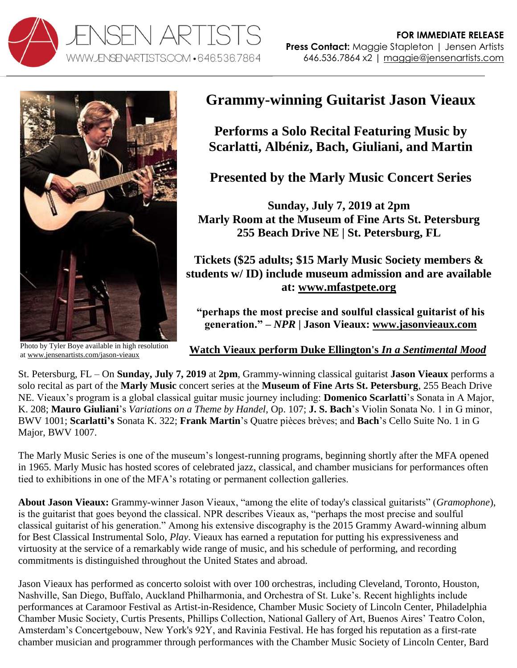



Photo by Tyler Boye available in high resolution a[t www.jensenartists.com/jason-vieaux](http://www.jensenartists.com/jason-vieaux)

## **Grammy-winning Guitarist Jason Vieaux**

**Performs a Solo Recital Featuring Music by Scarlatti, Albéniz, Bach, Giuliani, and Martin**

**Presented by the Marly Music Concert Series**

**Sunday, July 7, 2019 at 2pm Marly Room at the Museum of Fine Arts St. Petersburg 255 Beach Drive NE | St. Petersburg, FL** 

**Tickets (\$25 adults; \$15 Marly Music Society members & students w/ ID) include museum admission and are available at: [www.mfastpete.org](http://www.mfastpete.org/)**

**"perhaps the most precise and soulful classical guitarist of his generation." –** *NPR* **| Jason Vieaux: [www.jasonvieaux.com](http://www.jasonvieaux.com/)**

## **[Watch Vieaux perform Duke Ellington's](http://www.youtube.com/watch?v=6Mod9vYk4IE)** *In a Sentimental Mood*

St. Petersburg, FL – On **Sunday, July 7, 2019** at **2pm**, Grammy-winning classical guitarist **Jason Vieaux** performs a solo recital as part of the **Marly Music** concert series at the **Museum of Fine Arts St. Petersburg**, 255 Beach Drive NE. Vieaux's program is a global classical guitar music journey including: **Domenico Scarlatti**'s Sonata in A Major, K. 208; **Mauro Giuliani**'s *Variations on a Theme by Handel*, Op. 107; **J. S. Bach**'s Violin Sonata No. 1 in G minor, BWV 1001; **Scarlatti's** Sonata K. 322; **Frank Martin**'s Quatre pièces brèves; and **Bach**'s Cello Suite No. 1 in G Major, BWV 1007.

The Marly Music Series is one of the museum's longest-running programs, beginning shortly after the MFA opened in 1965. Marly Music has hosted scores of celebrated jazz, classical, and chamber musicians for performances often tied to exhibitions in one of the MFA's rotating or permanent collection galleries.

**About Jason Vieaux:** Grammy-winner Jason Vieaux, "among the elite of today's classical guitarists" (*Gramophone*), is the guitarist that goes beyond the classical. NPR describes Vieaux as, "perhaps the most precise and soulful classical guitarist of his generation." Among his extensive discography is the 2015 Grammy Award-winning album for Best Classical Instrumental Solo, *Play*. Vieaux has earned a reputation for putting his expressiveness and virtuosity at the service of a remarkably wide range of music, and his schedule of performing, and recording commitments is distinguished throughout the United States and abroad.

Jason Vieaux has performed as concerto soloist with over 100 orchestras, including Cleveland, Toronto, Houston, Nashville, San Diego, Buffalo, Auckland Philharmonia, and Orchestra of St. Luke's. Recent highlights include performances at Caramoor Festival as Artist-in-Residence, Chamber Music Society of Lincoln Center, Philadelphia Chamber Music Society, Curtis Presents, Phillips Collection, National Gallery of Art, Buenos Aires' Teatro Colon, Amsterdam's Concertgebouw, New York's 92Y, and Ravinia Festival. He has forged his reputation as a first-rate chamber musician and programmer through performances with the Chamber Music Society of Lincoln Center, Bard